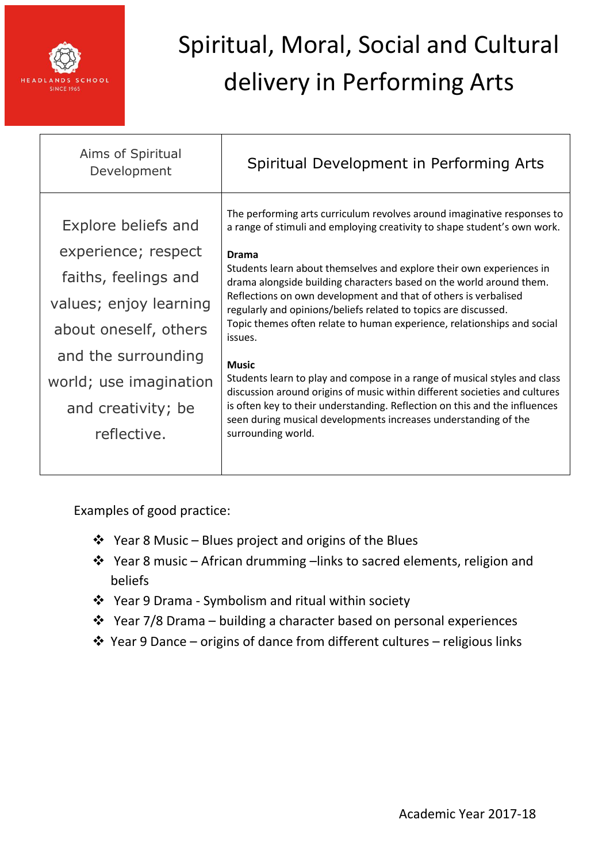

| Aims of Spiritual<br>Development                                                                                                                                                                            | Spiritual Development in Performing Arts                                                                                                                                                                                                                                                                                                                                                                                                                                                                                                                                                                                                                                                                                                                                                                                                                                                         |
|-------------------------------------------------------------------------------------------------------------------------------------------------------------------------------------------------------------|--------------------------------------------------------------------------------------------------------------------------------------------------------------------------------------------------------------------------------------------------------------------------------------------------------------------------------------------------------------------------------------------------------------------------------------------------------------------------------------------------------------------------------------------------------------------------------------------------------------------------------------------------------------------------------------------------------------------------------------------------------------------------------------------------------------------------------------------------------------------------------------------------|
| Explore beliefs and<br>experience; respect<br>faiths, feelings and<br>values; enjoy learning<br>about oneself, others<br>and the surrounding<br>world; use imagination<br>and creativity; be<br>reflective. | The performing arts curriculum revolves around imaginative responses to<br>a range of stimuli and employing creativity to shape student's own work.<br><b>Drama</b><br>Students learn about themselves and explore their own experiences in<br>drama alongside building characters based on the world around them.<br>Reflections on own development and that of others is verbalised<br>regularly and opinions/beliefs related to topics are discussed.<br>Topic themes often relate to human experience, relationships and social<br>issues.<br><b>Music</b><br>Students learn to play and compose in a range of musical styles and class<br>discussion around origins of music within different societies and cultures<br>is often key to their understanding. Reflection on this and the influences<br>seen during musical developments increases understanding of the<br>surrounding world. |
|                                                                                                                                                                                                             |                                                                                                                                                                                                                                                                                                                                                                                                                                                                                                                                                                                                                                                                                                                                                                                                                                                                                                  |

- Year 8 Music Blues project and origins of the Blues
- Year 8 music African drumming –links to sacred elements, religion and beliefs
- Year 9 Drama Symbolism and ritual within society
- $\div$  Year 7/8 Drama building a character based on personal experiences
- Year 9 Dance origins of dance from different cultures religious links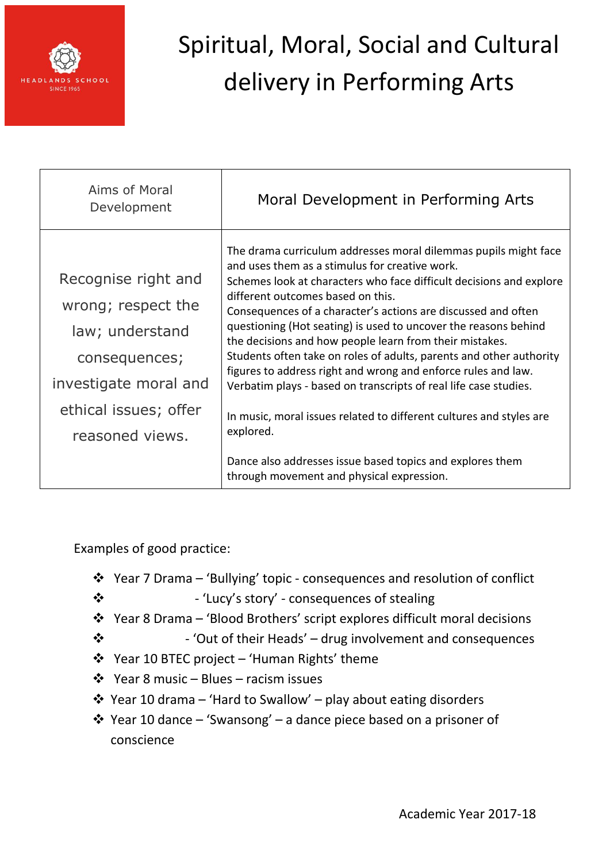

| Moral Development in Performing Arts                                                                                                                                                                                                                                                                                                                                                                                                                                                                                                                                                                                                                                                                                                                                                                                                   |
|----------------------------------------------------------------------------------------------------------------------------------------------------------------------------------------------------------------------------------------------------------------------------------------------------------------------------------------------------------------------------------------------------------------------------------------------------------------------------------------------------------------------------------------------------------------------------------------------------------------------------------------------------------------------------------------------------------------------------------------------------------------------------------------------------------------------------------------|
| The drama curriculum addresses moral dilemmas pupils might face<br>and uses them as a stimulus for creative work.<br>Schemes look at characters who face difficult decisions and explore<br>different outcomes based on this.<br>Consequences of a character's actions are discussed and often<br>questioning (Hot seating) is used to uncover the reasons behind<br>the decisions and how people learn from their mistakes.<br>Students often take on roles of adults, parents and other authority<br>figures to address right and wrong and enforce rules and law.<br>Verbatim plays - based on transcripts of real life case studies.<br>In music, moral issues related to different cultures and styles are<br>explored.<br>Dance also addresses issue based topics and explores them<br>through movement and physical expression. |
|                                                                                                                                                                                                                                                                                                                                                                                                                                                                                                                                                                                                                                                                                                                                                                                                                                        |

- Year 7 Drama 'Bullying' topic consequences and resolution of conflict
- 'Lucy's story' consequences of stealing
- Year 8 Drama 'Blood Brothers' script explores difficult moral decisions
- $\cdot$   $\cdot$  'Out of their Heads' drug involvement and consequences
- Year 10 BTEC project 'Human Rights' theme
- $\div$  Year 8 music Blues racism issues
- Year 10 drama 'Hard to Swallow' play about eating disorders
- Year 10 dance 'Swansong' a dance piece based on a prisoner of conscience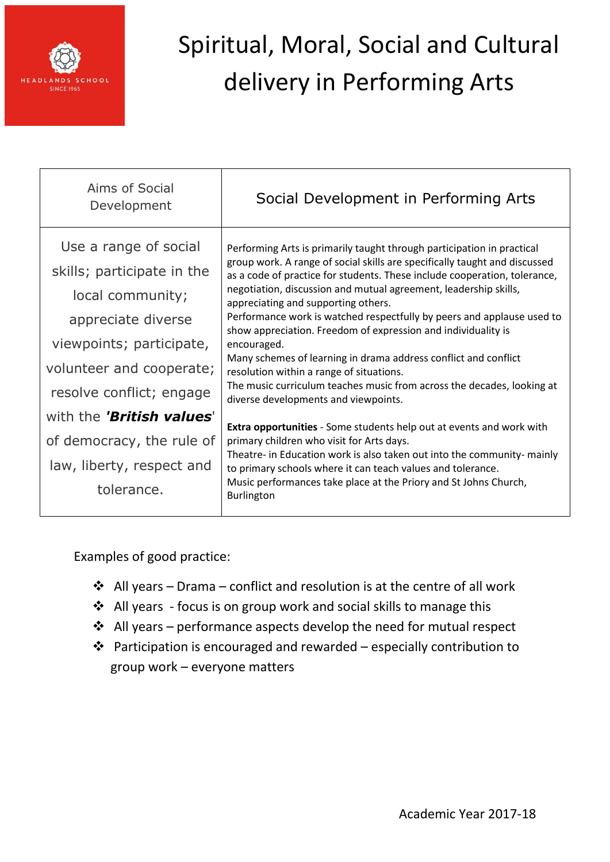

| Aims of Social<br>Development                                                                                                                                                                                         | Social Development in Performing Arts                                                                                                                                                                                                                                                                                                                                                                                                                                                                                                                                                                                                                                                                                                                                                                                  |
|-----------------------------------------------------------------------------------------------------------------------------------------------------------------------------------------------------------------------|------------------------------------------------------------------------------------------------------------------------------------------------------------------------------------------------------------------------------------------------------------------------------------------------------------------------------------------------------------------------------------------------------------------------------------------------------------------------------------------------------------------------------------------------------------------------------------------------------------------------------------------------------------------------------------------------------------------------------------------------------------------------------------------------------------------------|
| Use a range of social<br>skills; participate in the<br>local community;<br>appreciate diverse<br>viewpoints; participate,<br>volunteer and cooperate;<br>resolve conflict; engage<br>with the <b>'British values'</b> | Performing Arts is primarily taught through participation in practical<br>group work. A range of social skills are specifically taught and discussed<br>as a code of practice for students. These include cooperation, tolerance,<br>negotiation, discussion and mutual agreement, leadership skills,<br>appreciating and supporting others.<br>Performance work is watched respectfully by peers and applause used to<br>show appreciation. Freedom of expression and individuality is<br>encouraged.<br>Many schemes of learning in drama address conflict and conflict<br>resolution within a range of situations.<br>The music curriculum teaches music from across the decades, looking at<br>diverse developments and viewpoints.<br><b>Extra opportunities</b> - Some students help out at events and work with |
| of democracy, the rule of<br>law, liberty, respect and<br>tolerance.                                                                                                                                                  | primary children who visit for Arts days.<br>Theatre- in Education work is also taken out into the community- mainly<br>to primary schools where it can teach values and tolerance.<br>Music performances take place at the Priory and St Johns Church,<br><b>Burlington</b>                                                                                                                                                                                                                                                                                                                                                                                                                                                                                                                                           |

- $\triangleleft$  All years Drama conflict and resolution is at the centre of all work
- All years focus is on group work and social skills to manage this
- All years performance aspects develop the need for mutual respect
- Participation is encouraged and rewarded especially contribution to group work – everyone matters